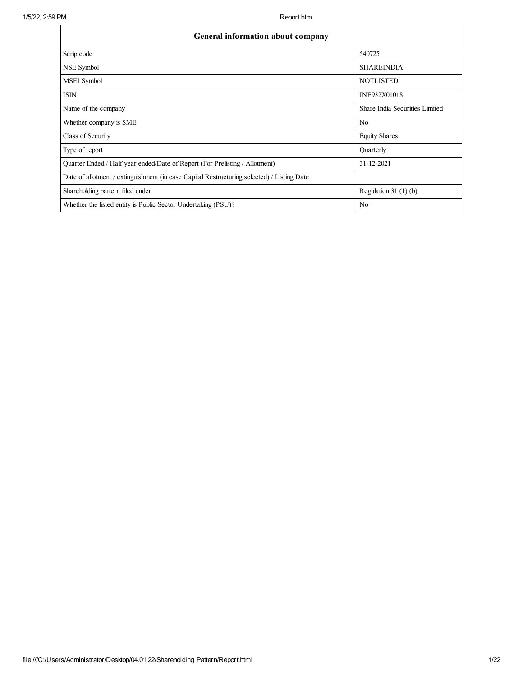| General information about company                                                          |                                |
|--------------------------------------------------------------------------------------------|--------------------------------|
| Scrip code                                                                                 | 540725                         |
| NSE Symbol                                                                                 | <b>SHAREINDIA</b>              |
| MSEI Symbol                                                                                | <b>NOTLISTED</b>               |
| <b>ISIN</b>                                                                                | INE932X01018                   |
| Name of the company                                                                        | Share India Securities Limited |
| Whether company is SME                                                                     | N <sub>0</sub>                 |
| Class of Security                                                                          | <b>Equity Shares</b>           |
| Type of report                                                                             | Quarterly                      |
| Quarter Ended / Half year ended/Date of Report (For Prelisting / Allotment)                | 31-12-2021                     |
| Date of allotment / extinguishment (in case Capital Restructuring selected) / Listing Date |                                |
| Shareholding pattern filed under                                                           | Regulation $31(1)(b)$          |
| Whether the listed entity is Public Sector Undertaking (PSU)?                              | N <sub>0</sub>                 |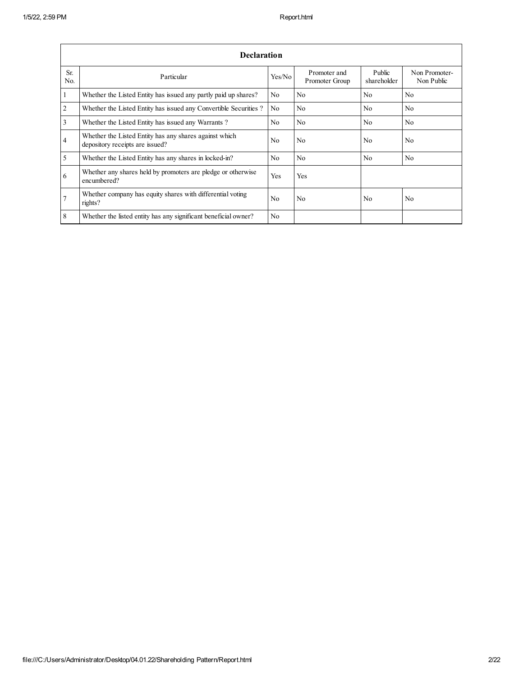|                       | Declaration                                                                               |                |                                |                       |                             |
|-----------------------|-------------------------------------------------------------------------------------------|----------------|--------------------------------|-----------------------|-----------------------------|
| Sr.<br>N <sub>0</sub> | Particular                                                                                | Yes/No         | Promoter and<br>Promoter Group | Public<br>shareholder | Non Promoter-<br>Non Public |
| 1                     | Whether the Listed Entity has issued any partly paid up shares?                           | No             | N <sub>0</sub>                 | N <sub>0</sub>        | N <sub>0</sub>              |
| $\overline{2}$        | Whether the Listed Entity has issued any Convertible Securities?                          | N <sub>0</sub> | N <sub>0</sub>                 | N <sub>0</sub>        | N <sub>0</sub>              |
| 3                     | Whether the Listed Entity has issued any Warrants?                                        | No             | N <sub>0</sub>                 | N <sub>0</sub>        | N <sub>0</sub>              |
| $\overline{4}$        | Whether the Listed Entity has any shares against which<br>depository receipts are issued? | No             | N <sub>0</sub>                 | N <sub>0</sub>        | N <sub>0</sub>              |
| 5                     | Whether the Listed Entity has any shares in locked-in?                                    | No             | N <sub>0</sub>                 | N <sub>0</sub>        | N <sub>0</sub>              |
| 6                     | Whether any shares held by promoters are pledge or otherwise<br>encumbered?               | Yes            | Yes                            |                       |                             |
| $\overline{7}$        | Whether company has equity shares with differential voting<br>rights?                     | No             | No                             | N <sub>0</sub>        | N <sub>0</sub>              |
| 8                     | Whether the listed entity has any significant beneficial owner?                           | N <sub>0</sub> |                                |                       |                             |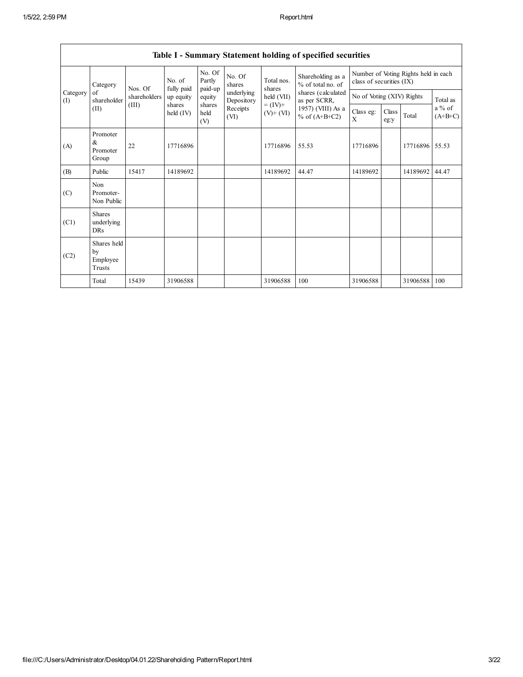$\overline{\phantom{a}}$ 

|                 |                                           |              |                       |                             |                          |                              | Table 1 - Summary Statement holding of specified securities |                           |               |                                      |                       |
|-----------------|-------------------------------------------|--------------|-----------------------|-----------------------------|--------------------------|------------------------------|-------------------------------------------------------------|---------------------------|---------------|--------------------------------------|-----------------------|
|                 | Category                                  | Nos. Of      | No. of<br>fully paid  | No. Of<br>Partly<br>paid-up | No. Of<br>shares         | Total nos.<br>shares         | Shareholding as a<br>% of total no. of                      | class of securities (IX)  |               | Number of Voting Rights held in each |                       |
| Category<br>(I) | of<br>shareholder                         | shareholders | up equity             | equity                      | underlying<br>Depository | held (VII)                   | shares (calculated<br>as per SCRR,                          | No of Voting (XIV) Rights |               |                                      | Total as              |
|                 | (II)                                      | (III)        | shares<br>held $(IV)$ | shares<br>held<br>(V)       | Receipts<br>(VI)         | $= (IV) +$<br>$(V)$ + $(VI)$ | 1957) (VIII) As a<br>% of $(A+B+C2)$                        | Class eg:<br>X            | Class<br>eg:y | Total                                | $a\%$ of<br>$(A+B+C)$ |
| (A)             | Promoter<br>&<br>Promoter<br>Group        | 22           | 17716896              |                             |                          | 17716896                     | 55.53                                                       | 17716896                  |               | 17716896 55.53                       |                       |
| (B)             | Public                                    | 15417        | 14189692              |                             |                          | 14189692                     | 44.47                                                       | 14189692                  |               | 14189692                             | 44.47                 |
| (C)             | Non<br>Promoter-<br>Non Public            |              |                       |                             |                          |                              |                                                             |                           |               |                                      |                       |
| (C1)            | <b>Shares</b><br>underlying<br><b>DRs</b> |              |                       |                             |                          |                              |                                                             |                           |               |                                      |                       |
| (C2)            | Shares held<br>by<br>Employee<br>Trusts   |              |                       |                             |                          |                              |                                                             |                           |               |                                      |                       |
|                 | Total                                     | 15439        | 31906588              |                             |                          | 31906588                     | 100                                                         | 31906588                  |               | 31906588                             | 100                   |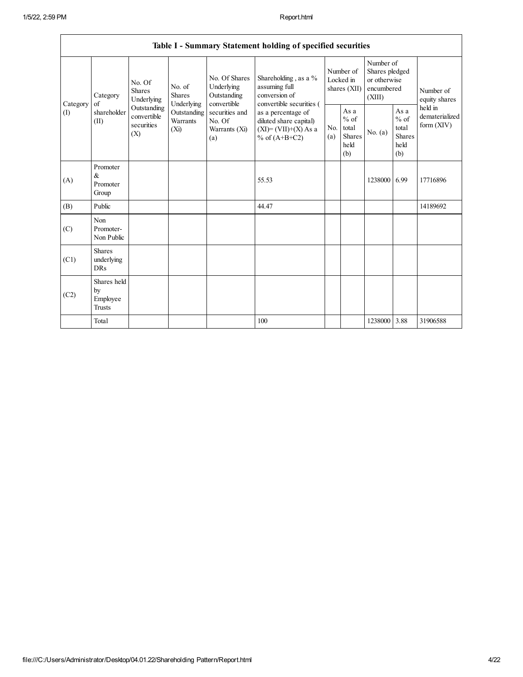$\mathsf I$ 

|          |                                           |                                                 |                                       |                                                           | Table I - Summary Statement holding of specified securities                                |            |                                                  |                                                                     |                                                         |                                           |
|----------|-------------------------------------------|-------------------------------------------------|---------------------------------------|-----------------------------------------------------------|--------------------------------------------------------------------------------------------|------------|--------------------------------------------------|---------------------------------------------------------------------|---------------------------------------------------------|-------------------------------------------|
| Category | Category<br>of                            | No. Of<br><b>Shares</b><br>Underlying           | No. of<br><b>Shares</b><br>Underlying | No. Of Shares<br>Underlying<br>Outstanding<br>convertible | Shareholding, as a %<br>assuming full<br>conversion of<br>convertible securities (         |            | Number of<br>Locked in<br>shares (XII)           | Number of<br>Shares pledged<br>or otherwise<br>encumbered<br>(XIII) |                                                         | Number of<br>equity shares                |
| (1)      | shareholder<br>(II)                       | Outstanding<br>convertible<br>securities<br>(X) | Outstanding<br>Warrants<br>$(X_i)$    | securities and<br>No. Of<br>Warrants (Xi)<br>(a)          | as a percentage of<br>diluted share capital)<br>$(XI) = (VII)+(X) As a$<br>% of $(A+B+C2)$ | No.<br>(a) | As a<br>$%$ of<br>total<br>Shares<br>held<br>(b) | No. $(a)$                                                           | As a<br>$%$ of<br>total<br><b>Shares</b><br>held<br>(b) | held in<br>dematerialized<br>form $(XIV)$ |
| (A)      | Promoter<br>&<br>Promoter<br>Group        |                                                 |                                       |                                                           | 55.53                                                                                      |            |                                                  | 1238000                                                             | 6.99                                                    | 17716896                                  |
| (B)      | Public                                    |                                                 |                                       |                                                           | 44.47                                                                                      |            |                                                  |                                                                     |                                                         | 14189692                                  |
| (C)      | Non<br>Promoter-<br>Non Public            |                                                 |                                       |                                                           |                                                                                            |            |                                                  |                                                                     |                                                         |                                           |
| (C1)     | <b>Shares</b><br>underlying<br><b>DRs</b> |                                                 |                                       |                                                           |                                                                                            |            |                                                  |                                                                     |                                                         |                                           |
| (C2)     | Shares held<br>by<br>Employee<br>Trusts   |                                                 |                                       |                                                           |                                                                                            |            |                                                  |                                                                     |                                                         |                                           |
|          | Total                                     |                                                 |                                       |                                                           | 100                                                                                        |            |                                                  | 1238000 3.88                                                        |                                                         | 31906588                                  |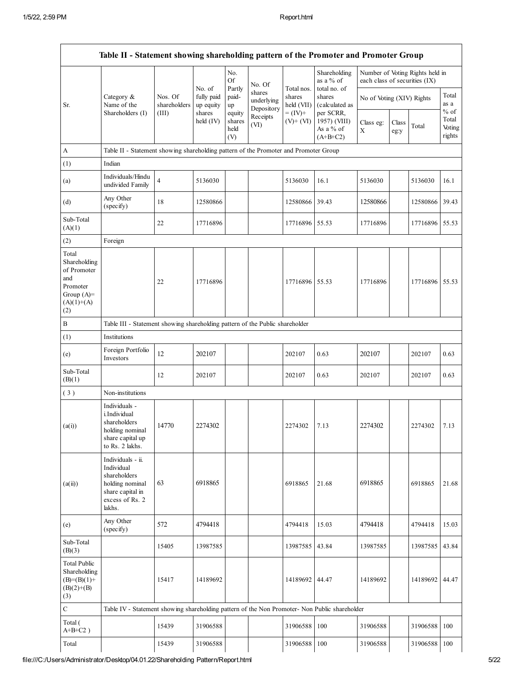|                                                                                                |                                                                                                                     |                         |                                   | No.<br>Of                       | No. Of                             |                                    | Shareholding<br>as a % of                            | each class of securities (IX) |               | Number of Voting Rights held in |                                     |
|------------------------------------------------------------------------------------------------|---------------------------------------------------------------------------------------------------------------------|-------------------------|-----------------------------------|---------------------------------|------------------------------------|------------------------------------|------------------------------------------------------|-------------------------------|---------------|---------------------------------|-------------------------------------|
| Sr.                                                                                            | Category &<br>Name of the                                                                                           | Nos. Of<br>shareholders | No. of<br>fully paid<br>up equity | Partly<br>paid-<br>up           | shares<br>underlying<br>Depository | Total nos.<br>shares<br>held (VII) | total no. of<br>shares<br>(calculated as             | No of Voting (XIV) Rights     |               |                                 | Total<br>as a                       |
|                                                                                                | Shareholders (I)                                                                                                    | (III)                   | shares<br>held (IV)               | equity<br>shares<br>held<br>(V) | Receipts<br>(VI)                   | $= (IV) +$<br>$(V)$ + $(VI)$       | per SCRR,<br>1957) (VIII)<br>As a % of<br>$(A+B+C2)$ | Class eg:<br>X                | Class<br>eg:y | Total                           | $%$ of<br>Total<br>Voting<br>rights |
| A                                                                                              | Table II - Statement showing shareholding pattern of the Promoter and Promoter Group                                |                         |                                   |                                 |                                    |                                    |                                                      |                               |               |                                 |                                     |
| (1)                                                                                            | Indian                                                                                                              |                         |                                   |                                 |                                    |                                    |                                                      |                               |               |                                 |                                     |
| (a)                                                                                            | Individuals/Hindu<br>undivided Family                                                                               | $\overline{4}$          | 5136030                           |                                 |                                    | 5136030                            | 16.1                                                 | 5136030                       |               | 5136030                         | 16.1                                |
| (d)                                                                                            | Any Other<br>(specify)                                                                                              | 18                      | 12580866                          |                                 |                                    | 12580866                           | 39.43                                                | 12580866                      |               | 12580866                        | 39.43                               |
| Sub-Total<br>(A)(1)                                                                            |                                                                                                                     | 22                      | 17716896                          |                                 |                                    | 17716896                           | 55.53                                                | 17716896                      |               | 17716896 55.53                  |                                     |
| (2)                                                                                            | Foreign                                                                                                             |                         |                                   |                                 |                                    |                                    |                                                      |                               |               |                                 |                                     |
| Total<br>Shareholding<br>of Promoter<br>and<br>Promoter<br>Group $(A)=$<br>$(A)(1)+(A)$<br>(2) |                                                                                                                     | 22                      | 17716896                          |                                 |                                    | 17716896                           | 55.53                                                | 17716896                      |               | 17716896 55.53                  |                                     |
| B                                                                                              | Table III - Statement showing shareholding pattern of the Public shareholder                                        |                         |                                   |                                 |                                    |                                    |                                                      |                               |               |                                 |                                     |
| (1)                                                                                            | Institutions                                                                                                        |                         |                                   |                                 |                                    |                                    |                                                      |                               |               |                                 |                                     |
| (e)                                                                                            | Foreign Portfolio<br>Investors                                                                                      | 12                      | 202107                            |                                 |                                    | 202107                             | 0.63                                                 | 202107                        |               | 202107                          | 0.63                                |
| Sub-Total<br>(B)(1)                                                                            |                                                                                                                     | 12                      | 202107                            |                                 |                                    | 202107                             | 0.63                                                 | 202107                        |               | 202107                          | 0.63                                |
| (3)                                                                                            | Non-institutions                                                                                                    |                         |                                   |                                 |                                    |                                    |                                                      |                               |               |                                 |                                     |
| (a(i))                                                                                         | Individuals -<br>i.Individual<br>shareholders<br>holding nominal<br>share capital up<br>to Rs. 2 lakhs.             | 14770                   | 2274302                           |                                 |                                    | 2274302                            | 7.13                                                 | 2274302                       |               | 2274302                         | 7.13                                |
| (a(ii))                                                                                        | Individuals - ii.<br>Individual<br>shareholders<br>holding nominal<br>share capital in<br>excess of Rs. 2<br>lakhs. | 63                      | 6918865                           |                                 |                                    | 6918865                            | 21.68                                                | 6918865                       |               | 6918865                         | 21.68                               |
| (e)                                                                                            | Any Other<br>(specify)                                                                                              | 572                     | 4794418                           |                                 |                                    | 4794418                            | 15.03                                                | 4794418                       |               | 4794418                         | 15.03                               |
| Sub-Total<br>(B)(3)                                                                            |                                                                                                                     | 15405                   | 13987585                          |                                 |                                    | 13987585                           | 43.84                                                | 13987585                      |               | 13987585                        | 43.84                               |
| <b>Total Public</b><br>Shareholding<br>$(B)=(B)(1)+$<br>$(B)(2)+(B)$<br>(3)                    |                                                                                                                     | 15417                   | 14189692                          |                                 |                                    | 14189692                           | 44.47                                                | 14189692                      |               | 14189692                        | 44.47                               |
| $\mathsf{C}$                                                                                   | Table IV - Statement showing shareholding pattern of the Non Promoter- Non Public shareholder                       |                         |                                   |                                 |                                    |                                    |                                                      |                               |               |                                 |                                     |
| Total (<br>$A+B+C2$ )                                                                          |                                                                                                                     | 15439                   | 31906588                          |                                 |                                    | 31906588                           | 100                                                  | 31906588                      |               | 31906588                        | 100                                 |
| Total                                                                                          |                                                                                                                     | 15439                   | 31906588                          |                                 |                                    | 31906588                           | 100                                                  | 31906588                      |               | 31906588                        | 100                                 |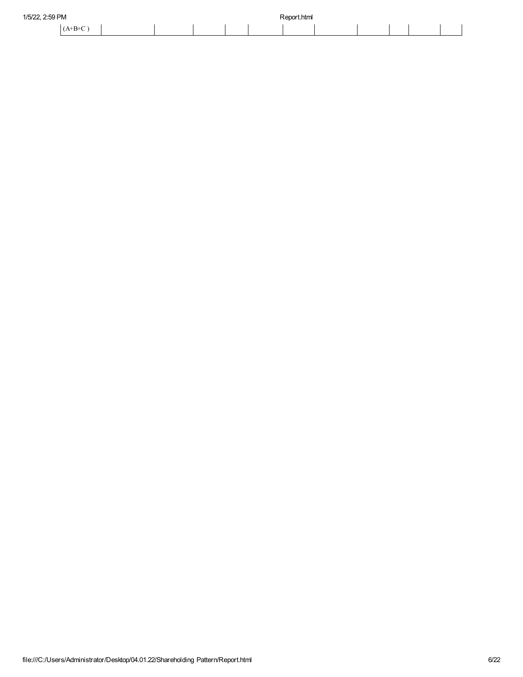| 1/5/22, 2:59 PM |  |  | Report.html<br>. |  |  |  |
|-----------------|--|--|------------------|--|--|--|
| $(A+B+C)$       |  |  |                  |  |  |  |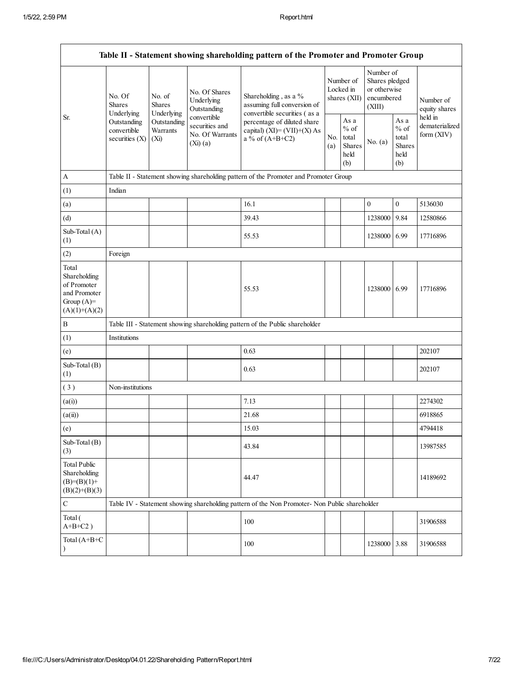|                                                                                         |                                              |                                              |                                                                  | Table II - Statement showing shareholding pattern of the Promoter and Promoter Group          |            |                                                  |                                                                     |                                                  |                                         |
|-----------------------------------------------------------------------------------------|----------------------------------------------|----------------------------------------------|------------------------------------------------------------------|-----------------------------------------------------------------------------------------------|------------|--------------------------------------------------|---------------------------------------------------------------------|--------------------------------------------------|-----------------------------------------|
|                                                                                         | No. Of<br><b>Shares</b><br>Underlying        | No. of<br><b>Shares</b><br>Underlying        | No. Of Shares<br>Underlying<br>Outstanding                       | Shareholding, as a %<br>assuming full conversion of<br>convertible securities (as a           |            | Number of<br>Locked in<br>shares (XII)           | Number of<br>Shares pledged<br>or otherwise<br>encumbered<br>(XIII) |                                                  | Number of<br>equity shares              |
| Sr.                                                                                     | Outstanding<br>convertible<br>securities (X) | Outstanding<br>Warrants<br>(X <sub>i</sub> ) | convertible<br>securities and<br>No. Of Warrants<br>$(Xi)$ $(a)$ | percentage of diluted share<br>capital) $(XI) = (VII)+(X) As$<br>a % of $(A+B+C2)$            | No.<br>(a) | As a<br>$%$ of<br>total<br>Shares<br>held<br>(b) | No. $(a)$                                                           | As a<br>$%$ of<br>total<br>Shares<br>held<br>(b) | held in<br>dematerialized<br>form (XIV) |
| A                                                                                       |                                              |                                              |                                                                  | Table II - Statement showing shareholding pattern of the Promoter and Promoter Group          |            |                                                  |                                                                     |                                                  |                                         |
| (1)                                                                                     | Indian                                       |                                              |                                                                  |                                                                                               |            |                                                  |                                                                     |                                                  |                                         |
| (a)                                                                                     |                                              |                                              |                                                                  | 16.1                                                                                          |            |                                                  | $\boldsymbol{0}$                                                    | $\boldsymbol{0}$                                 | 5136030                                 |
| (d)                                                                                     |                                              |                                              |                                                                  | 39.43                                                                                         |            |                                                  | 1238000                                                             | 9.84                                             | 12580866                                |
| Sub-Total (A)<br>(1)                                                                    |                                              |                                              |                                                                  | 55.53                                                                                         |            |                                                  | 1238000                                                             | 6.99                                             | 17716896                                |
| (2)                                                                                     | Foreign                                      |                                              |                                                                  |                                                                                               |            |                                                  |                                                                     |                                                  |                                         |
| Total<br>Shareholding<br>of Promoter<br>and Promoter<br>Group $(A)=$<br>$(A)(1)+(A)(2)$ |                                              |                                              |                                                                  | 55.53                                                                                         |            |                                                  | 1238000 6.99                                                        |                                                  | 17716896                                |
| B                                                                                       |                                              |                                              |                                                                  | Table III - Statement showing shareholding pattern of the Public shareholder                  |            |                                                  |                                                                     |                                                  |                                         |
| (1)                                                                                     | Institutions                                 |                                              |                                                                  |                                                                                               |            |                                                  |                                                                     |                                                  |                                         |
| (e)                                                                                     |                                              |                                              |                                                                  | 0.63                                                                                          |            |                                                  |                                                                     |                                                  | 202107                                  |
| Sub-Total $(B)$<br>(1)                                                                  |                                              |                                              |                                                                  | 0.63                                                                                          |            |                                                  |                                                                     |                                                  | 202107                                  |
| (3)                                                                                     | Non-institutions                             |                                              |                                                                  |                                                                                               |            |                                                  |                                                                     |                                                  |                                         |
| (a(i))                                                                                  |                                              |                                              |                                                                  | 7.13                                                                                          |            |                                                  |                                                                     |                                                  | 2274302                                 |
| (a(ii))                                                                                 |                                              |                                              |                                                                  | 21.68                                                                                         |            |                                                  |                                                                     |                                                  | 6918865                                 |
| (e)                                                                                     |                                              |                                              |                                                                  | 15.03                                                                                         |            |                                                  |                                                                     |                                                  | 4794418                                 |
| Sub-Total $(B)$<br>(3)                                                                  |                                              |                                              |                                                                  | 43.84                                                                                         |            |                                                  |                                                                     |                                                  | 13987585                                |
| <b>Total Public</b><br>Shareholding<br>$(B)=(B)(1)+$<br>$(B)(2)+(B)(3)$                 |                                              |                                              |                                                                  | 44.47                                                                                         |            |                                                  |                                                                     |                                                  | 14189692                                |
| $\mathbf C$                                                                             |                                              |                                              |                                                                  | Table IV - Statement showing shareholding pattern of the Non Promoter- Non Public shareholder |            |                                                  |                                                                     |                                                  |                                         |
| Total (<br>$A+B+C2$ )                                                                   |                                              |                                              |                                                                  | 100                                                                                           |            |                                                  |                                                                     |                                                  | 31906588                                |
| Total $(A+B+C)$<br>$\mathcal{E}$                                                        |                                              |                                              |                                                                  | 100                                                                                           |            |                                                  | 1238000 3.88                                                        |                                                  | 31906588                                |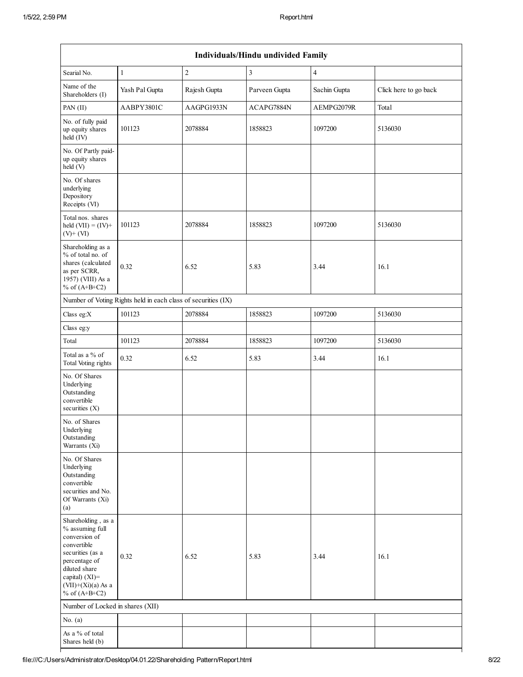|                                                                                                                                                                                          |                                                               |                  | Individuals/Hindu undivided Family |                |                       |
|------------------------------------------------------------------------------------------------------------------------------------------------------------------------------------------|---------------------------------------------------------------|------------------|------------------------------------|----------------|-----------------------|
| Searial No.                                                                                                                                                                              | $\mathbf{1}$                                                  | $\boldsymbol{2}$ | 3                                  | $\overline{4}$ |                       |
| Name of the<br>Shareholders (I)                                                                                                                                                          | Yash Pal Gupta                                                | Rajesh Gupta     | Parveen Gupta                      | Sachin Gupta   | Click here to go back |
| PAN (II)                                                                                                                                                                                 | AABPY3801C                                                    | AAGPG1933N       | ACAPG7884N                         | AEMPG2079R     | Total                 |
| No. of fully paid<br>up equity shares<br>held (IV)                                                                                                                                       | 101123                                                        | 2078884          | 1858823                            | 1097200        | 5136030               |
| No. Of Partly paid-<br>up equity shares<br>held (V)                                                                                                                                      |                                                               |                  |                                    |                |                       |
| No. Of shares<br>underlying<br>Depository<br>Receipts (VI)                                                                                                                               |                                                               |                  |                                    |                |                       |
| Total nos. shares<br>held $(VII) = (IV) +$<br>$(V)$ + $(VI)$                                                                                                                             | 101123                                                        | 2078884          | 1858823                            | 1097200        | 5136030               |
| Shareholding as a<br>% of total no. of<br>shares (calculated<br>as per SCRR,<br>1957) (VIII) As a<br>% of $(A+B+C2)$                                                                     | 0.32                                                          | 6.52             | 5.83                               | 3.44           | 16.1                  |
|                                                                                                                                                                                          | Number of Voting Rights held in each class of securities (IX) |                  |                                    |                |                       |
| Class eg:X                                                                                                                                                                               | 101123                                                        | 2078884          | 1858823                            | 1097200        | 5136030               |
| Class eg:y                                                                                                                                                                               |                                                               |                  |                                    |                |                       |
| Total                                                                                                                                                                                    | 101123                                                        | 2078884          | 1858823                            | 1097200        | 5136030               |
| Total as a % of<br>Total Voting rights                                                                                                                                                   | 0.32                                                          | 6.52             | 5.83                               | 3.44           | 16.1                  |
| No. Of Shares<br>Underlying<br>Outstanding<br>convertible<br>securities $(X)$                                                                                                            |                                                               |                  |                                    |                |                       |
| No. of Shares<br>Underlying<br>Outstanding<br>Warrants (Xi)                                                                                                                              |                                                               |                  |                                    |                |                       |
| No. Of Shares<br>Underlying<br>Outstanding<br>convertible<br>securities and No.<br>Of Warrants (Xi)<br>(a)                                                                               |                                                               |                  |                                    |                |                       |
| Shareholding, as a<br>% assuming full<br>conversion of<br>convertible<br>securities (as a<br>percentage of<br>diluted share<br>capital) (XI)=<br>$(VII)+(Xi)(a)$ As a<br>% of $(A+B+C2)$ | 0.32                                                          | 6.52             | 5.83                               | 3.44           | 16.1                  |
| Number of Locked in shares (XII)                                                                                                                                                         |                                                               |                  |                                    |                |                       |
| No. $(a)$                                                                                                                                                                                |                                                               |                  |                                    |                |                       |
| As a % of total<br>Shares held (b)                                                                                                                                                       |                                                               |                  |                                    |                |                       |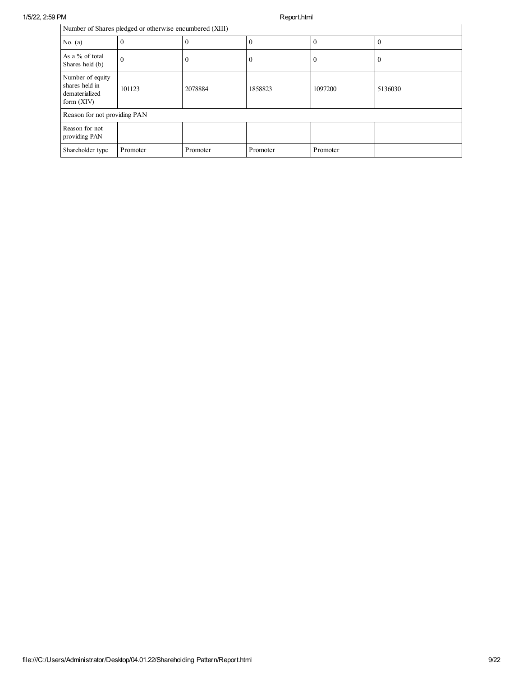|                                                                    | Number of Shares pledged or otherwise encumbered (XIII) |          |          |          |         |
|--------------------------------------------------------------------|---------------------------------------------------------|----------|----------|----------|---------|
| No. $(a)$                                                          |                                                         |          | $\theta$ |          |         |
| As a % of total<br>Shares held (b)                                 | $\theta$                                                |          | $\bf{0}$ |          |         |
| Number of equity<br>shares held in<br>dematerialized<br>form (XIV) | 101123                                                  | 2078884  | 1858823  | 1097200  | 5136030 |
| Reason for not providing PAN                                       |                                                         |          |          |          |         |
| Reason for not<br>providing PAN                                    |                                                         |          |          |          |         |
| Shareholder type                                                   | Promoter                                                | Promoter | Promoter | Promoter |         |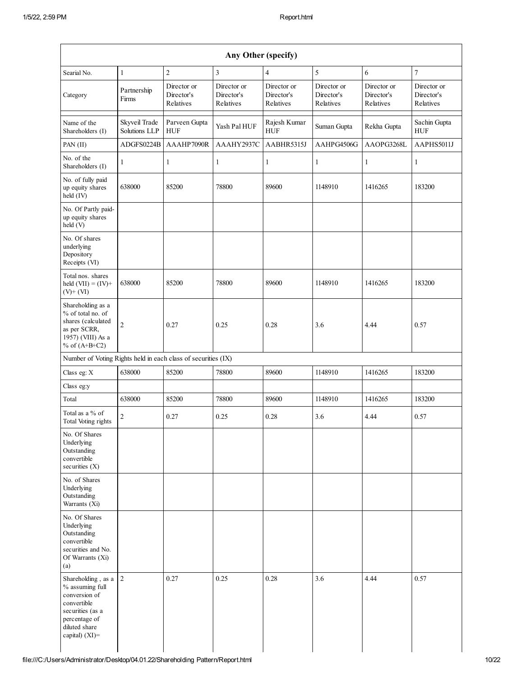| Searial No.                                                                                                                 | $\mathbf{1}$                   | $\overline{c}$                         | $\mathfrak{Z}$                         | $\overline{4}$                         | 5                                      | $\sqrt{6}$                             | $\overline{7}$                         |
|-----------------------------------------------------------------------------------------------------------------------------|--------------------------------|----------------------------------------|----------------------------------------|----------------------------------------|----------------------------------------|----------------------------------------|----------------------------------------|
| Category                                                                                                                    | Partnership<br>Firms           | Director or<br>Director's<br>Relatives | Director or<br>Director's<br>Relatives | Director or<br>Director's<br>Relatives | Director or<br>Director's<br>Relatives | Director or<br>Director's<br>Relatives | Director or<br>Director's<br>Relatives |
| Name of the<br>Shareholders (I)                                                                                             | Skyveil Trade<br>Solutions LLP | Parveen Gupta<br>${\rm HUF}$           | Yash Pal HUF                           | Rajesh Kumar<br>${\rm HUF}$            | Suman Gupta                            | Rekha Gupta                            | Sachin Gupta<br>${\rm HUF}$            |
| PAN (II)                                                                                                                    | ADGFS0224B                     | AAAHP7090R                             | AAAHY2937C                             | AABHR5315J                             | AAHPG4506G                             | AAOPG3268L                             | AAPHS5011J                             |
| No. of the<br>Shareholders (I)                                                                                              | $\mathbf{1}$                   | 1                                      | 1                                      | 1                                      | 1                                      | 1                                      | 1                                      |
| No. of fully paid<br>up equity shares<br>held (IV)                                                                          | 638000                         | 85200                                  | 78800                                  | 89600                                  | 1148910                                | 1416265                                | 183200                                 |
| No. Of Partly paid-<br>up equity shares<br>held(V)                                                                          |                                |                                        |                                        |                                        |                                        |                                        |                                        |
| No. Of shares<br>underlying<br>Depository<br>Receipts (VI)                                                                  |                                |                                        |                                        |                                        |                                        |                                        |                                        |
| Total nos. shares<br>held $(VII) = (IV) +$<br>$(V)$ + $(VI)$                                                                | 638000                         | 85200                                  | 78800                                  | 89600                                  | 1148910                                | 1416265                                | 183200                                 |
| Shareholding as a<br>% of total no. of<br>shares (calculated<br>as per SCRR,<br>1957) (VIII) As a<br>% of $(A+B+C2)$        | $\sqrt{2}$                     | 0.27                                   | 0.25                                   | 0.28                                   | 3.6                                    | 4.44                                   | 0.57                                   |
| Number of Voting Rights held in each class of securities (IX)                                                               |                                |                                        |                                        |                                        |                                        |                                        |                                        |
| Class eg: X                                                                                                                 | 638000                         | 85200                                  | 78800                                  | 89600                                  | 1148910                                | 1416265                                | 183200                                 |
| Class eg:y                                                                                                                  |                                |                                        |                                        |                                        |                                        |                                        |                                        |
| Total                                                                                                                       | 638000                         | 85200                                  | 78800                                  | 89600                                  | 1148910                                | 1416265                                | 183200                                 |
| Total as a $\%$ of<br>Total Voting rights                                                                                   | $\sqrt{2}$                     | 0.27                                   | 0.25                                   | 0.28                                   | 3.6                                    | 4.44                                   | 0.57                                   |
| No. Of Shares<br>Underlying<br>Outstanding<br>convertible<br>securities $(X)$                                               |                                |                                        |                                        |                                        |                                        |                                        |                                        |
| No. of Shares<br>Underlying<br>Outstanding<br>Warrants (Xi)                                                                 |                                |                                        |                                        |                                        |                                        |                                        |                                        |
| No. Of Shares<br>Underlying<br>Outstanding<br>convertible<br>securities and No.<br>Of Warrants (Xi)<br>(a)                  |                                |                                        |                                        |                                        |                                        |                                        |                                        |
| Shareholding, as a<br>% assuming full<br>conversion of<br>convertible<br>securities (as a<br>percentage of<br>diluted share | $\boldsymbol{2}$               | 0.27                                   | 0.25                                   | 0.28                                   | 3.6                                    | 4.44                                   | 0.57                                   |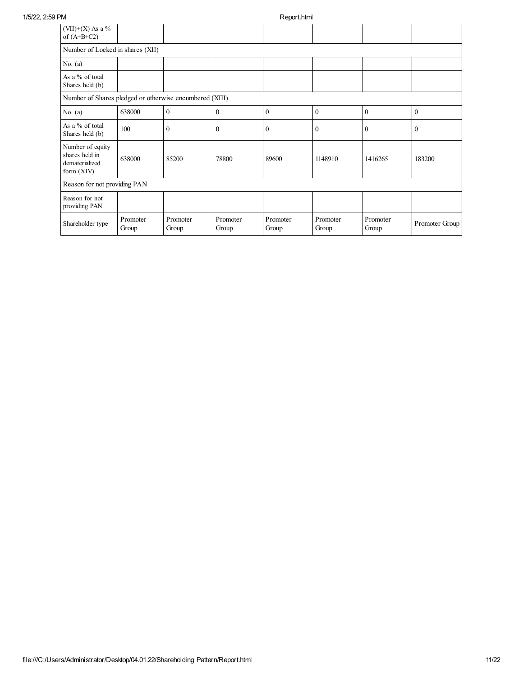| 1/5/22, 2:59 PM |                                                                      |                   |                   |                   | Report.html       |                   |                   |                |
|-----------------|----------------------------------------------------------------------|-------------------|-------------------|-------------------|-------------------|-------------------|-------------------|----------------|
|                 | $(VII)+(X)$ As a %<br>of $(A+B+C2)$                                  |                   |                   |                   |                   |                   |                   |                |
|                 | Number of Locked in shares (XII)                                     |                   |                   |                   |                   |                   |                   |                |
|                 | No. $(a)$                                                            |                   |                   |                   |                   |                   |                   |                |
|                 | As a % of total<br>Shares held (b)                                   |                   |                   |                   |                   |                   |                   |                |
|                 | Number of Shares pledged or otherwise encumbered (XIII)              |                   |                   |                   |                   |                   |                   |                |
|                 | No. $(a)$                                                            | 638000            | $\mathbf{0}$      | $\theta$          | $\theta$          | $\mathbf{0}$      | $\theta$          | $\mathbf{0}$   |
|                 | As a % of total<br>Shares held (b)                                   | 100               | $\theta$          | $\theta$          | $\mathbf{0}$      | $\mathbf{0}$      | $\theta$          | $\mathbf{0}$   |
|                 | Number of equity<br>shares held in<br>dematerialized<br>form $(XIV)$ | 638000            | 85200             | 78800             | 89600             | 1148910           | 1416265           | 183200         |
|                 | Reason for not providing PAN                                         |                   |                   |                   |                   |                   |                   |                |
|                 | Reason for not<br>providing PAN                                      |                   |                   |                   |                   |                   |                   |                |
|                 | Shareholder type                                                     | Promoter<br>Group | Promoter<br>Group | Promoter<br>Group | Promoter<br>Group | Promoter<br>Group | Promoter<br>Group | Promoter Group |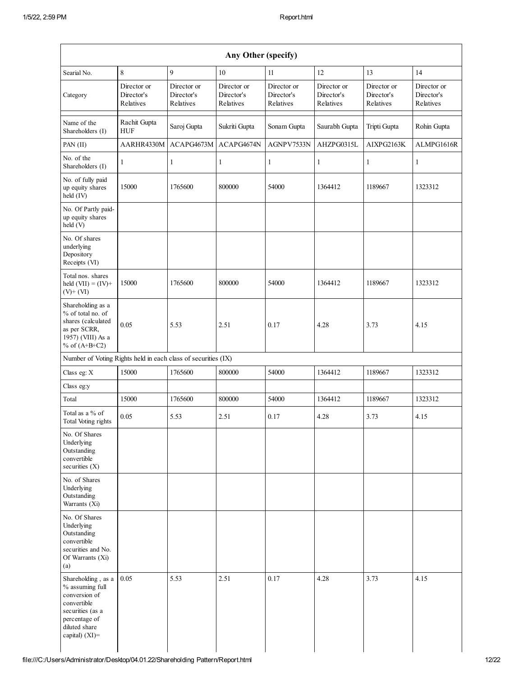| Searial No.                                                                                                                                      | $\,8\,$                                | 9                                      | $10\,$                                 | 11                                     | 12                                     | 13                                     | 14                                     |
|--------------------------------------------------------------------------------------------------------------------------------------------------|----------------------------------------|----------------------------------------|----------------------------------------|----------------------------------------|----------------------------------------|----------------------------------------|----------------------------------------|
| Category                                                                                                                                         | Director or<br>Director's<br>Relatives | Director or<br>Director's<br>Relatives | Director or<br>Director's<br>Relatives | Director or<br>Director's<br>Relatives | Director or<br>Director's<br>Relatives | Director or<br>Director's<br>Relatives | Director or<br>Director's<br>Relatives |
| Name of the<br>Shareholders (I)                                                                                                                  | Rachit Gupta<br><b>HUF</b>             | Saroj Gupta                            | Sukriti Gupta                          | Sonam Gupta                            | Saurabh Gupta                          | Tripti Gupta                           | Rohin Gupta                            |
| PAN (II)                                                                                                                                         | AARHR4330M                             | ACAPG4673M                             | ACAPG4674N                             | AGNPV7533N                             | AHZPG0315L                             | AIXPG2163K                             | ALMPG1616R                             |
| No. of the<br>Shareholders (I)                                                                                                                   | $\mathbf{1}$                           | 1                                      | 1                                      | 1                                      | $\mathbf{1}$                           | 1                                      | $\mathbf{1}$                           |
| No. of fully paid<br>up equity shares<br>held (IV)                                                                                               | 15000                                  | 1765600                                | 800000                                 | 54000                                  | 1364412                                | 1189667                                | 1323312                                |
| No. Of Partly paid-<br>up equity shares<br>held(V)                                                                                               |                                        |                                        |                                        |                                        |                                        |                                        |                                        |
| No. Of shares<br>underlying<br>Depository<br>Receipts (VI)                                                                                       |                                        |                                        |                                        |                                        |                                        |                                        |                                        |
| Total nos. shares<br>held $(VII) = (IV) +$<br>$(V)$ + $(VI)$                                                                                     | 15000                                  | 1765600                                | 800000                                 | 54000                                  | 1364412                                | 1189667                                | 1323312                                |
| Shareholding as a<br>% of total no. of<br>shares (calculated<br>as per SCRR,<br>1957) (VIII) As a<br>% of $(A+B+C2)$                             | 0.05                                   | 5.53                                   | 2.51                                   | 0.17                                   | 4.28                                   | 3.73                                   | 4.15                                   |
| Number of Voting Rights held in each class of securities (IX)                                                                                    |                                        |                                        |                                        |                                        |                                        |                                        |                                        |
| Class eg: X                                                                                                                                      | 15000                                  | 1765600                                | 800000                                 | 54000                                  | 1364412                                | 1189667                                | 1323312                                |
| Class eg:y                                                                                                                                       |                                        |                                        |                                        |                                        |                                        |                                        |                                        |
| Total                                                                                                                                            | 15000                                  | 1765600                                | 800000                                 | 54000                                  | 1364412                                | 1189667                                | 1323312                                |
| Total as a % of<br>Total Voting rights                                                                                                           | 0.05                                   | 5.53                                   | 2.51                                   | 0.17                                   | 4.28                                   | 3.73                                   | 4.15                                   |
| No. Of Shares<br>Underlying<br>Outstanding<br>convertible<br>securities (X)                                                                      |                                        |                                        |                                        |                                        |                                        |                                        |                                        |
| No. of Shares<br>Underlying<br>Outstanding<br>Warrants (Xi)                                                                                      |                                        |                                        |                                        |                                        |                                        |                                        |                                        |
| No. Of Shares<br>Underlying<br>Outstanding<br>convertible<br>securities and No.<br>Of Warrants (Xi)<br>(a)                                       |                                        |                                        |                                        |                                        |                                        |                                        |                                        |
| Shareholding, as a<br>% assuming full<br>conversion of<br>convertible<br>securities (as a<br>percentage of<br>diluted share<br>capital) $(XI)$ = | 0.05                                   | 5.53                                   | 2.51                                   | 0.17                                   | 4.28                                   | 3.73                                   | 4.15                                   |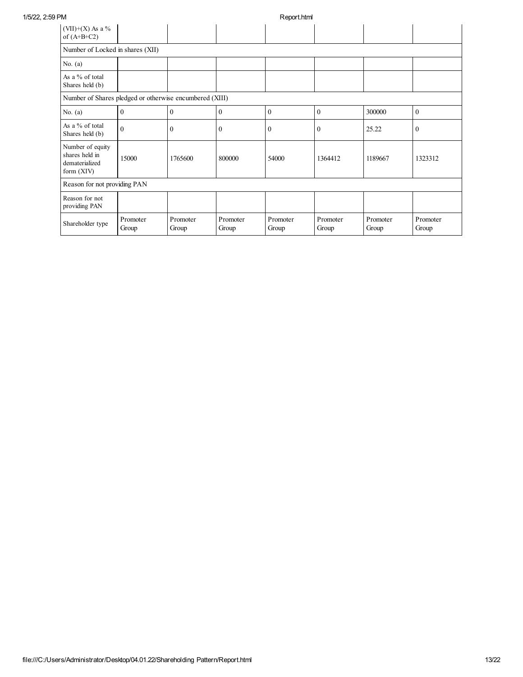| 1/5/22, 2:59 PM |                                                                    |                   |                   |                   | Report.html       |                   |                   |                   |  |  |  |
|-----------------|--------------------------------------------------------------------|-------------------|-------------------|-------------------|-------------------|-------------------|-------------------|-------------------|--|--|--|
|                 | $(VII)+(X)$ As a %<br>of $(A+B+C2)$                                |                   |                   |                   |                   |                   |                   |                   |  |  |  |
|                 | Number of Locked in shares (XII)                                   |                   |                   |                   |                   |                   |                   |                   |  |  |  |
|                 | No. $(a)$                                                          |                   |                   |                   |                   |                   |                   |                   |  |  |  |
|                 | As a % of total<br>Shares held (b)                                 |                   |                   |                   |                   |                   |                   |                   |  |  |  |
|                 | Number of Shares pledged or otherwise encumbered (XIII)            |                   |                   |                   |                   |                   |                   |                   |  |  |  |
|                 | No. $(a)$                                                          | $\overline{0}$    | $\mathbf{0}$      | $\mathbf{0}$      | $\mathbf{0}$      | $\mathbf{0}$      | 300000            | $\mathbf{0}$      |  |  |  |
|                 | As a % of total<br>Shares held (b)                                 | $\overline{0}$    | $\mathbf{0}$      | $\mathbf{0}$      | $\mathbf{0}$      | $\boldsymbol{0}$  | 25.22             | $\overline{0}$    |  |  |  |
|                 | Number of equity<br>shares held in<br>dematerialized<br>form (XIV) | 15000             | 1765600           | 800000            | 54000             | 1364412           | 1189667           | 1323312           |  |  |  |
|                 | Reason for not providing PAN                                       |                   |                   |                   |                   |                   |                   |                   |  |  |  |
|                 | Reason for not<br>providing PAN                                    |                   |                   |                   |                   |                   |                   |                   |  |  |  |
|                 | Shareholder type                                                   | Promoter<br>Group | Promoter<br>Group | Promoter<br>Group | Promoter<br>Group | Promoter<br>Group | Promoter<br>Group | Promoter<br>Group |  |  |  |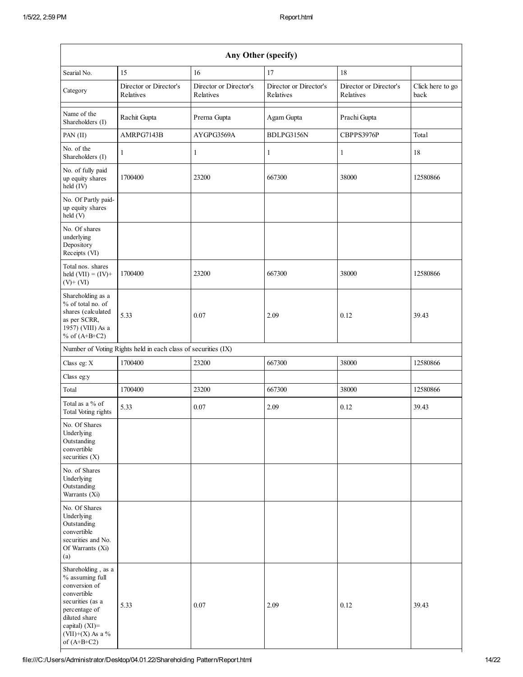| Any Other (specify)                                                                                                                                                                     |                                                               |                                     |                                     |                                     |                          |  |  |  |
|-----------------------------------------------------------------------------------------------------------------------------------------------------------------------------------------|---------------------------------------------------------------|-------------------------------------|-------------------------------------|-------------------------------------|--------------------------|--|--|--|
| Searial No.                                                                                                                                                                             | 15                                                            | 16                                  | 17                                  | 18                                  |                          |  |  |  |
| Category                                                                                                                                                                                | Director or Director's<br>Relatives                           | Director or Director's<br>Relatives | Director or Director's<br>Relatives | Director or Director's<br>Relatives | Click here to go<br>back |  |  |  |
| Name of the<br>Shareholders (I)                                                                                                                                                         | Rachit Gupta                                                  | Prerna Gupta                        | Agam Gupta                          | Prachi Gupta                        |                          |  |  |  |
| PAN (II)                                                                                                                                                                                | AMRPG7143B                                                    | AYGPG3569A                          | BDLPG3156N                          | CBPPS3976P                          | Total                    |  |  |  |
| No. of the<br>Shareholders (I)                                                                                                                                                          | $\mathbf{1}$                                                  | $\mathbf{1}$                        | $\mathbf{1}$                        | $\mathbf{1}$                        | 18                       |  |  |  |
| No. of fully paid<br>up equity shares<br>held (IV)                                                                                                                                      | 1700400                                                       | 23200                               | 667300                              | 38000                               | 12580866                 |  |  |  |
| No. Of Partly paid-<br>up equity shares<br>held (V)                                                                                                                                     |                                                               |                                     |                                     |                                     |                          |  |  |  |
| No. Of shares<br>underlying<br>Depository<br>Receipts (VI)                                                                                                                              |                                                               |                                     |                                     |                                     |                          |  |  |  |
| Total nos. shares<br>held $(VII) = (IV) +$<br>$(V)$ + $(VI)$                                                                                                                            | 1700400                                                       | 23200                               | 667300                              | 38000                               | 12580866                 |  |  |  |
| Shareholding as a<br>% of total no. of<br>shares (calculated<br>as per SCRR,<br>1957) (VIII) As a<br>% of $(A+B+C2)$                                                                    | 5.33                                                          | 0.07                                | 2.09                                | 0.12                                | 39.43                    |  |  |  |
|                                                                                                                                                                                         | Number of Voting Rights held in each class of securities (IX) |                                     |                                     |                                     |                          |  |  |  |
| Class eg: X                                                                                                                                                                             | 1700400                                                       | 23200                               | 667300                              | 38000                               | 12580866                 |  |  |  |
| Class eg:y                                                                                                                                                                              |                                                               |                                     |                                     |                                     |                          |  |  |  |
| Total                                                                                                                                                                                   | 1700400                                                       | 23200                               | 667300                              | 38000                               | 12580866                 |  |  |  |
| Total as a % of<br>Total Voting rights                                                                                                                                                  | 5.33                                                          | 0.07                                | 2.09                                | 0.12                                | 39.43                    |  |  |  |
| No. Of Shares<br>Underlying<br>Outstanding<br>convertible<br>securities $(X)$                                                                                                           |                                                               |                                     |                                     |                                     |                          |  |  |  |
| No. of Shares<br>Underlying<br>Outstanding<br>Warrants (Xi)                                                                                                                             |                                                               |                                     |                                     |                                     |                          |  |  |  |
| No. Of Shares<br>Underlying<br>Outstanding<br>convertible<br>securities and No.<br>Of Warrants (Xi)<br>(a)                                                                              |                                                               |                                     |                                     |                                     |                          |  |  |  |
| Shareholding, as a<br>% assuming full<br>conversion of<br>convertible<br>securities (as a<br>percentage of<br>diluted share<br>capital) $(XI)$ =<br>$(VII)+(X)$ As a %<br>of $(A+B+C2)$ | 5.33                                                          | 0.07                                | 2.09                                | 0.12                                | 39.43                    |  |  |  |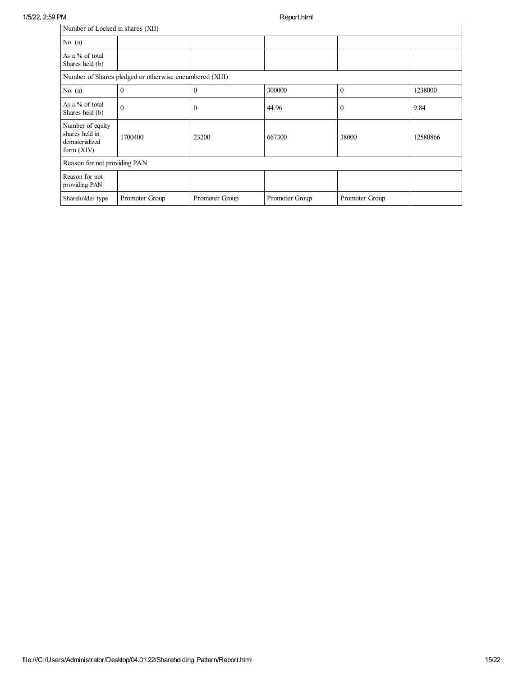| Number of Locked in shares (XII)                                     |                |                |                |                |          |  |  |  |  |
|----------------------------------------------------------------------|----------------|----------------|----------------|----------------|----------|--|--|--|--|
| No. $(a)$                                                            |                |                |                |                |          |  |  |  |  |
| As a % of total<br>Shares held (b)                                   |                |                |                |                |          |  |  |  |  |
| Number of Shares pledged or otherwise encumbered (XIII)              |                |                |                |                |          |  |  |  |  |
| No. $(a)$                                                            | $\theta$       | $\theta$       | 300000         | $\theta$       | 1238000  |  |  |  |  |
| As a % of total<br>Shares held (b)                                   | $\Omega$       | 0              | 44.96          | $\theta$       | 9.84     |  |  |  |  |
| Number of equity<br>shares held in<br>dematerialized<br>form $(XIV)$ | 1700400        | 23200          | 667300         | 38000          | 12580866 |  |  |  |  |
| Reason for not providing PAN                                         |                |                |                |                |          |  |  |  |  |
| Reason for not<br>providing PAN                                      |                |                |                |                |          |  |  |  |  |
| Shareholder type                                                     | Promoter Group | Promoter Group | Promoter Group | Promoter Group |          |  |  |  |  |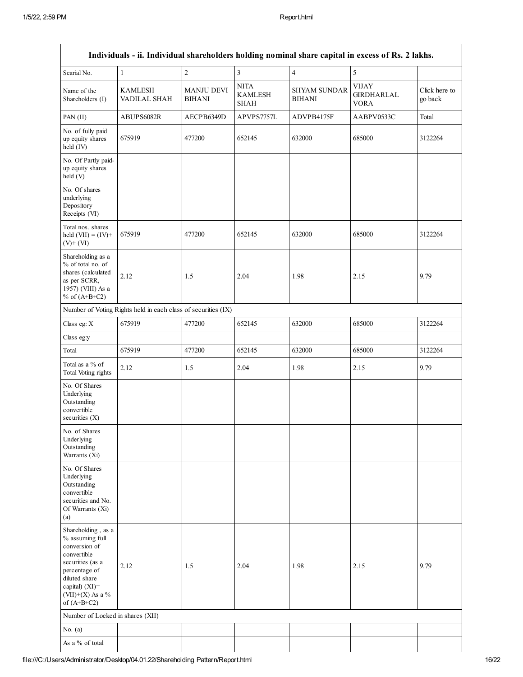| Individuals - ii. Individual shareholders holding nominal share capital in excess of Rs. 2 lakhs.                                                                                       |                                                               |                             |                                              |                                      |                                                  |                          |  |
|-----------------------------------------------------------------------------------------------------------------------------------------------------------------------------------------|---------------------------------------------------------------|-----------------------------|----------------------------------------------|--------------------------------------|--------------------------------------------------|--------------------------|--|
| Searial No.                                                                                                                                                                             | $\mathbf{1}$                                                  | $\overline{c}$              | $\overline{\mathbf{3}}$                      | $\overline{4}$                       | 5                                                |                          |  |
| Name of the<br>Shareholders (I)                                                                                                                                                         | <b>KAMLESH</b><br>VADILAL SHAH                                | <b>MANJU DEVI</b><br>BIHANI | <b>NITA</b><br><b>KAMLESH</b><br><b>SHAH</b> | <b>SHYAM SUNDAR</b><br><b>BIHANI</b> | <b>VIJAY</b><br><b>GIRDHARLAL</b><br><b>VORA</b> | Click here to<br>go back |  |
| PAN (II)                                                                                                                                                                                | ABUPS6082R                                                    | AECPB6349D                  | APVPS7757L                                   | ADVPB4175F                           | AABPV0533C                                       | Total                    |  |
| No. of fully paid<br>up equity shares<br>held (IV)                                                                                                                                      | 675919                                                        | 477200                      | 652145                                       | 632000                               | 685000                                           | 3122264                  |  |
| No. Of Partly paid-<br>up equity shares<br>held (V)                                                                                                                                     |                                                               |                             |                                              |                                      |                                                  |                          |  |
| No. Of shares<br>underlying<br>Depository<br>Receipts (VI)                                                                                                                              |                                                               |                             |                                              |                                      |                                                  |                          |  |
| Total nos. shares<br>held $(VII) = (IV) +$<br>$(V)+(VI)$                                                                                                                                | 675919                                                        | 477200                      | 652145                                       | 632000                               | 685000                                           | 3122264                  |  |
| Shareholding as a<br>% of total no. of<br>shares (calculated<br>as per SCRR,<br>1957) (VIII) As a<br>% of $(A+B+C2)$                                                                    | 2.12                                                          | 1.5                         | 2.04                                         | 1.98                                 | 2.15                                             | 9.79                     |  |
|                                                                                                                                                                                         | Number of Voting Rights held in each class of securities (IX) |                             |                                              |                                      |                                                  |                          |  |
| Class eg: X                                                                                                                                                                             | 675919                                                        | 477200                      | 652145                                       | 632000                               | 685000                                           | 3122264                  |  |
| Class eg:y                                                                                                                                                                              |                                                               |                             |                                              |                                      |                                                  |                          |  |
| Total                                                                                                                                                                                   | 675919                                                        | 477200                      | 652145                                       | 632000                               | 685000                                           | 3122264                  |  |
| Total as a % of<br>Total Voting rights                                                                                                                                                  | 2.12                                                          | 1.5                         | 2.04                                         | 1.98                                 | 2.15                                             | 9.79                     |  |
| No. Of Shares<br>Underlying<br>Outstanding<br>convertible<br>securities $(X)$                                                                                                           |                                                               |                             |                                              |                                      |                                                  |                          |  |
| No. of Shares<br>Underlying<br>Outstanding<br>Warrants (Xi)                                                                                                                             |                                                               |                             |                                              |                                      |                                                  |                          |  |
| No. Of Shares<br>Underlying<br>Outstanding<br>convertible<br>securities and No.<br>Of Warrants (Xi)<br>(a)                                                                              |                                                               |                             |                                              |                                      |                                                  |                          |  |
| Shareholding, as a<br>% assuming full<br>conversion of<br>convertible<br>securities (as a<br>percentage of<br>diluted share<br>capital) $(XI)$ =<br>$(VII)+(X)$ As a %<br>of $(A+B+C2)$ | 2.12                                                          | 1.5                         | 2.04                                         | 1.98                                 | 2.15                                             | 9.79                     |  |
| Number of Locked in shares (XII)                                                                                                                                                        |                                                               |                             |                                              |                                      |                                                  |                          |  |
| No. $(a)$                                                                                                                                                                               |                                                               |                             |                                              |                                      |                                                  |                          |  |
| As a % of total                                                                                                                                                                         |                                                               |                             |                                              |                                      |                                                  |                          |  |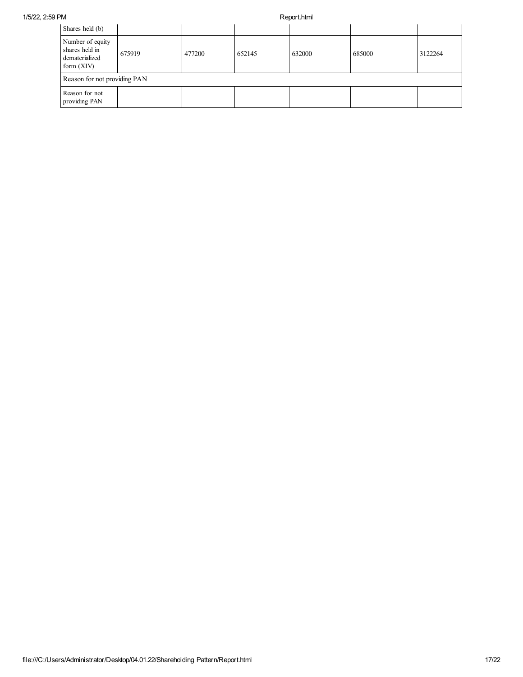| Shares held (b)                                                      |        |        |        |        |        |         |  |  |
|----------------------------------------------------------------------|--------|--------|--------|--------|--------|---------|--|--|
| Number of equity<br>shares held in<br>dematerialized<br>form $(XIV)$ | 675919 | 477200 | 652145 | 632000 | 685000 | 3122264 |  |  |
| Reason for not providing PAN                                         |        |        |        |        |        |         |  |  |
| Reason for not<br>providing PAN                                      |        |        |        |        |        |         |  |  |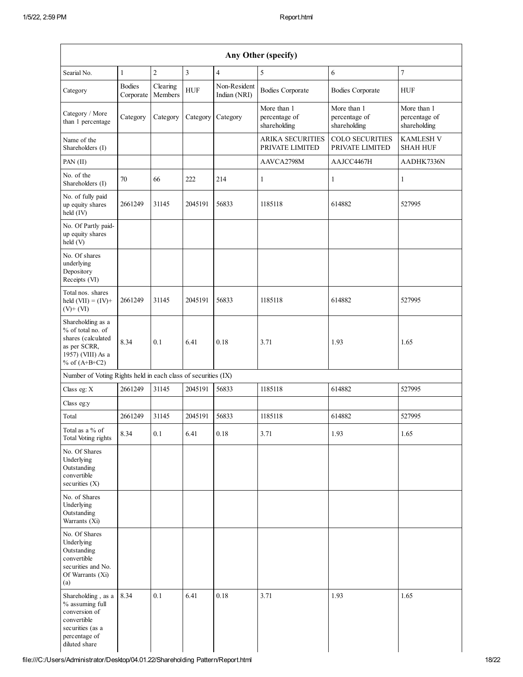| Searial No.                                                                                                                 | 1                          | $\overline{2}$      | $\overline{\mathbf{3}}$ | $\overline{4}$               | 5                                            | 6                                            | $\boldsymbol{7}$                             |
|-----------------------------------------------------------------------------------------------------------------------------|----------------------------|---------------------|-------------------------|------------------------------|----------------------------------------------|----------------------------------------------|----------------------------------------------|
| Category                                                                                                                    | <b>Bodies</b><br>Corporate | Clearing<br>Members | <b>HUF</b>              | Non-Resident<br>Indian (NRI) | <b>Bodies Corporate</b>                      | <b>Bodies Corporate</b>                      | <b>HUF</b>                                   |
| Category / More<br>than 1 percentage                                                                                        | Category                   | Category            |                         | Category Category            | More than 1<br>percentage of<br>shareholding | More than 1<br>percentage of<br>shareholding | More than 1<br>percentage of<br>shareholding |
| Name of the<br>Shareholders (I)                                                                                             |                            |                     |                         |                              | <b>ARIKA SECURITIES</b><br>PRIVATE LIMITED   | <b>COLO SECURITIES</b><br>PRIVATE LIMITED    | <b>KAMLESH V</b><br><b>SHAH HUF</b>          |
| PAN (II)                                                                                                                    |                            |                     |                         |                              | AAVCA2798M                                   | AAJCC4467H                                   | AADHK7336N                                   |
| No. of the<br>Shareholders (I)                                                                                              | 70                         | 66                  | 222                     | 214                          | $\mathbf{1}$                                 | 1                                            | $\mathbf{1}$                                 |
| No. of fully paid<br>up equity shares<br>$held$ (IV)                                                                        | 2661249                    | 31145               | 2045191                 | 56833                        | 1185118                                      | 614882                                       | 527995                                       |
| No. Of Partly paid-<br>up equity shares<br>held(V)                                                                          |                            |                     |                         |                              |                                              |                                              |                                              |
| No. Of shares<br>underlying<br>Depository<br>Receipts (VI)                                                                  |                            |                     |                         |                              |                                              |                                              |                                              |
| Total nos. shares<br>held $(VII) = (IV) +$<br>$(V)$ + $(VI)$                                                                | 2661249                    | 31145               | 2045191                 | 56833                        | 1185118                                      | 614882                                       | 527995                                       |
| Shareholding as a<br>% of total no. of<br>shares (calculated<br>as per SCRR,<br>1957) (VIII) As a<br>% of $(A+B+C2)$        | 8.34                       | 0.1                 | 6.41                    | 0.18                         | 3.71                                         | 1.93                                         | 1.65                                         |
| Number of Voting Rights held in each class of securities (IX)                                                               |                            |                     |                         |                              |                                              |                                              |                                              |
| Class eg: X                                                                                                                 | 2661249                    | 31145               | 2045191                 | 56833                        | 1185118                                      | 614882                                       | 527995                                       |
| Class eg:y                                                                                                                  |                            |                     |                         |                              |                                              |                                              |                                              |
| Total                                                                                                                       | 2661249                    | 31145               | 2045191                 | 56833                        | 1185118                                      | 614882                                       | 527995                                       |
| Total as a % of<br>Total Voting rights                                                                                      | 8.34                       | 0.1                 | 6.41                    | $0.18\,$                     | 3.71                                         | 1.93                                         | 1.65                                         |
| No. Of Shares<br>Underlying<br>Outstanding<br>convertible<br>securities (X)                                                 |                            |                     |                         |                              |                                              |                                              |                                              |
| No. of Shares<br>Underlying<br>Outstanding<br>Warrants (Xi)                                                                 |                            |                     |                         |                              |                                              |                                              |                                              |
| No. Of Shares<br>Underlying<br>Outstanding<br>convertible<br>securities and No.<br>Of Warrants (Xi)<br>(a)                  |                            |                     |                         |                              |                                              |                                              |                                              |
| Shareholding, as a<br>% assuming full<br>conversion of<br>convertible<br>securities (as a<br>percentage of<br>diluted share | 8.34                       | 0.1                 | 6.41                    | 0.18                         | 3.71                                         | 1.93                                         | 1.65                                         |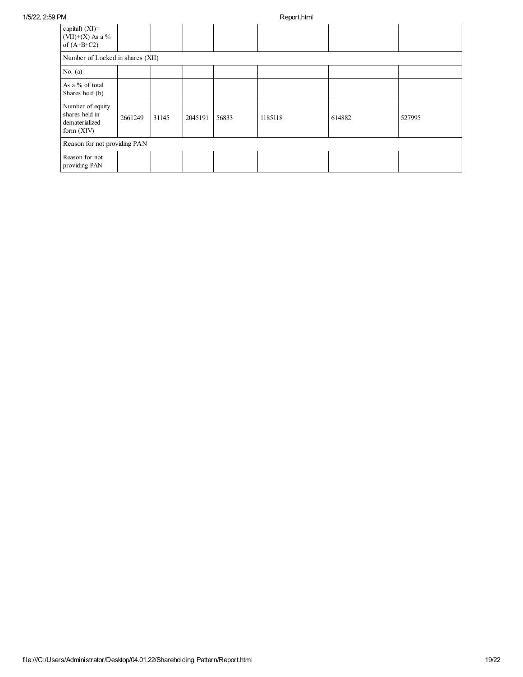| 1/5/22, 2:59 PM |                                                                      |         |       | Report.html |       |         |        |        |  |
|-----------------|----------------------------------------------------------------------|---------|-------|-------------|-------|---------|--------|--------|--|
|                 | capital) $(XI)$ =<br>$(VII)+(X)$ As a %<br>of $(A+B+C2)$             |         |       |             |       |         |        |        |  |
|                 | Number of Locked in shares (XII)                                     |         |       |             |       |         |        |        |  |
|                 | No. $(a)$                                                            |         |       |             |       |         |        |        |  |
|                 | As a % of total<br>Shares held (b)                                   |         |       |             |       |         |        |        |  |
|                 | Number of equity<br>shares held in<br>dematerialized<br>form $(XIV)$ | 2661249 | 31145 | 2045191     | 56833 | 1185118 | 614882 | 527995 |  |
|                 | Reason for not providing PAN                                         |         |       |             |       |         |        |        |  |
|                 | Reason for not<br>providing PAN                                      |         |       |             |       |         |        |        |  |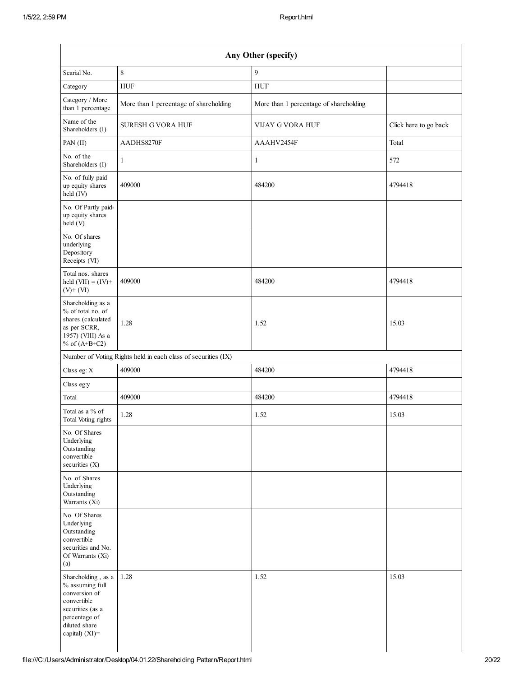|                                                                                                                                               |                                                               | Any Other (specify)                    |                       |
|-----------------------------------------------------------------------------------------------------------------------------------------------|---------------------------------------------------------------|----------------------------------------|-----------------------|
| Searial No.                                                                                                                                   | 8                                                             | 9                                      |                       |
| Category                                                                                                                                      | <b>HUF</b>                                                    | <b>HUF</b>                             |                       |
| Category / More<br>than 1 percentage                                                                                                          | More than 1 percentage of shareholding                        | More than 1 percentage of shareholding |                       |
| Name of the<br>Shareholders (I)                                                                                                               | <b>SURESH G VORA HUF</b>                                      | <b>VIJAY G VORA HUF</b>                | Click here to go back |
| PAN (II)                                                                                                                                      | AADHS8270F                                                    | AAAHV2454F                             | Total                 |
| No. of the<br>Shareholders (I)                                                                                                                | $\mathbf{1}$                                                  | $\mathbf{1}$                           | 572                   |
| No. of fully paid<br>up equity shares<br>held (IV)                                                                                            | 409000                                                        | 484200                                 | 4794418               |
| No. Of Partly paid-<br>up equity shares<br>held (V)                                                                                           |                                                               |                                        |                       |
| No. Of shares<br>underlying<br>Depository<br>Receipts (VI)                                                                                    |                                                               |                                        |                       |
| Total nos. shares<br>held $(VII) = (IV) +$<br>$(V)$ + $(VI)$                                                                                  | 409000                                                        | 484200                                 | 4794418               |
| Shareholding as a<br>% of total no. of<br>shares (calculated<br>as per SCRR,<br>1957) (VIII) As a<br>% of $(A+B+C2)$                          | 1.28                                                          | 1.52                                   | 15.03                 |
|                                                                                                                                               | Number of Voting Rights held in each class of securities (IX) |                                        |                       |
| Class eg: X                                                                                                                                   | 409000                                                        | 484200                                 | 4794418               |
| Class eg:y                                                                                                                                    |                                                               |                                        |                       |
| Total                                                                                                                                         | 409000                                                        | 484200                                 | 4794418               |
| Total as a % of<br>Total Voting rights                                                                                                        | 1.28                                                          | 1.52                                   | 15.03                 |
| No. Of Shares<br>Underlying<br>Outstanding<br>convertible<br>securities (X)                                                                   |                                                               |                                        |                       |
| No. of Shares<br>Underlying<br>Outstanding<br>Warrants (Xi)                                                                                   |                                                               |                                        |                       |
| No. Of Shares<br>Underlying<br>Outstanding<br>convertible<br>securities and No.<br>Of Warrants (Xi)<br>(a)                                    |                                                               |                                        |                       |
| Shareholding, as a<br>% assuming full<br>conversion of<br>convertible<br>securities (as a<br>percentage of<br>diluted share<br>capital) (XI)= | 1.28                                                          | 1.52                                   | 15.03                 |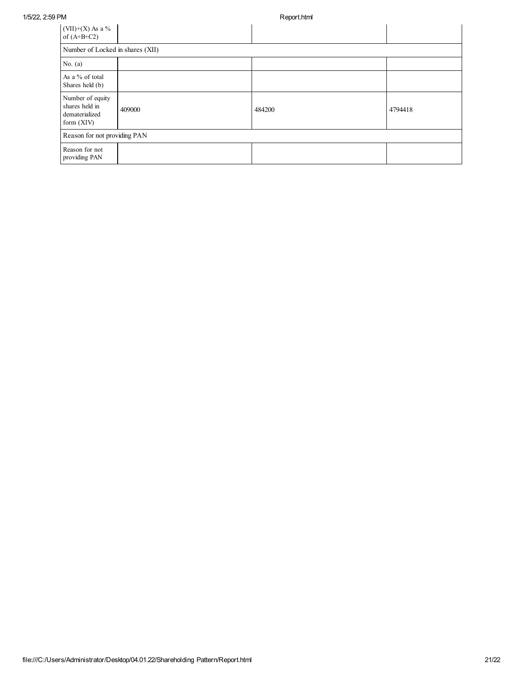| $(VII)+(X)$ As a %<br>of $(A+B+C2)$                                  |        |        |         |  |  |  |  |  |
|----------------------------------------------------------------------|--------|--------|---------|--|--|--|--|--|
| Number of Locked in shares (XII)                                     |        |        |         |  |  |  |  |  |
| No. $(a)$                                                            |        |        |         |  |  |  |  |  |
| As a % of total<br>Shares held (b)                                   |        |        |         |  |  |  |  |  |
| Number of equity<br>shares held in<br>dematerialized<br>form $(XIV)$ | 409000 | 484200 | 4794418 |  |  |  |  |  |
| Reason for not providing PAN                                         |        |        |         |  |  |  |  |  |
| Reason for not<br>providing PAN                                      |        |        |         |  |  |  |  |  |